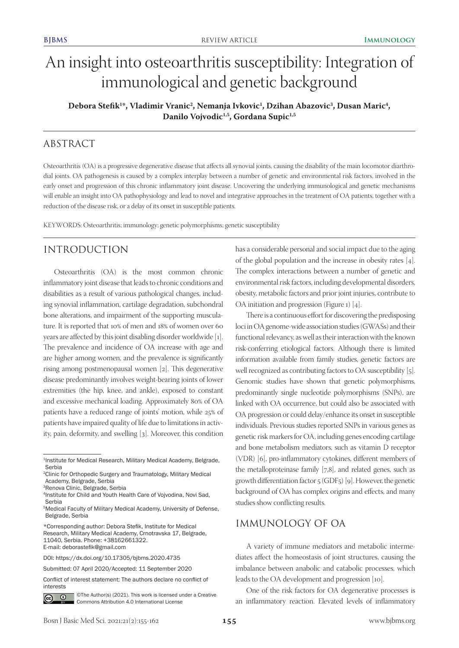# An insight into osteoarthritis susceptibility: Integration of immunological and genetic background

Debora Stefik<sup>1</sup>\*, Vladimir Vranic<sup>2</sup>, Nemanja Ivkovic<sup>1</sup>, Dzihan Abazovic<sup>3</sup>, Dusan Maric<sup>4</sup>, Danilo Vojvodic<sup>1,5</sup>, Gordana Supic<sup>1,5</sup>

# ABSTRACT

Osteoarthritis (OA) is a progressive degenerative disease that affects all synovial joints, causing the disability of the main locomotor diarthrodial joints. OA pathogenesis is caused by a complex interplay between a number of genetic and environmental risk factors, involved in the early onset and progression of this chronic inflammatory joint disease. Uncovering the underlying immunological and genetic mechanisms will enable an insight into OA pathophysiology and lead to novel and integrative approaches in the treatment of OA patients, together with a reduction of the disease risk, or a delay of its onset in susceptible patients.

KEYWORDS: Osteoarthritis; immunology; genetic polymorphisms; genetic susceptibility

# INTRODUCTION

Osteoarthritis (OA) is the most common chronic inflammatory joint disease that leads to chronic conditions and disabilities as a result of various pathological changes, including synovial inflammation, cartilage degradation, subchondral bone alterations, and impairment of the supporting musculature. It is reported that 10% of men and 18% of women over 60 years are affected by this joint disabling disorder worldwide [1]. The prevalence and incidence of OA increase with age and are higher among women, and the prevalence is significantly rising among postmenopausal women [2]. This degenerative disease predominantly involves weight-bearing joints of lower extremities (the hip, knee, and ankle), exposed to constant and excessive mechanical loading. Approximately 80% of OA patients have a reduced range of joints' motion, while 25% of patients have impaired quality of life due to limitations in activity, pain, deformity, and swelling [3]. Moreover, this condition

Conflict of interest statement: The authors declare no conflict of interests



©The Author(s) (2021). This work is licensed under a Creative Commons Attribution 4.0 International License

has a considerable personal and social impact due to the aging of the global population and the increase in obesity rates [4]. The complex interactions between a number of genetic and environmental risk factors, including developmental disorders, obesity, metabolic factors and prior joint injuries, contribute to OA initiation and progression (Figure 1) [4].

There is a continuous effort for discovering the predisposing loci in OA genome-wide association studies (GWASs) and their functional relevancy, as well as their interaction with the known risk-conferring etiological factors. Although there is limited information available from family studies, genetic factors are well recognized as contributing factors to OA susceptibility [5]. Genomic studies have shown that genetic polymorphisms, predominantly single nucleotide polymorphisms (SNPs), are linked with OA occurrence, but could also be associated with OA progression or could delay/enhance its onset in susceptible individuals. Previous studies reported SNPs in various genes as genetic risk markers for OA, including genes encoding cartilage and bone metabolism mediators, such as vitamin D receptor (VDR) [6], pro-inflammatory cytokines, different members of the metalloproteinase family [7,8], and related genes, such as growth differentiation factor 5 (GDF5) [9]. However, the genetic background of OA has complex origins and effects, and many studies show conflicting results.

# IMMUNOLOGY OF OA

A variety of immune mediators and metabolic intermediates affect the homeostasis of joint structures, causing the imbalance between anabolic and catabolic processes, which leads to the OA development and progression [10].

One of the risk factors for OA degenerative processes is an inflammatory reaction. Elevated levels of inflammatory

<sup>&</sup>lt;sup>1</sup>Institute for Medical Research, Military Medical Academy, Belgrade, Serbia

<sup>2</sup>Clinic for Orthopedic Surgery and Traumatology, Military Medical Academy, Belgrade, Serbia

<sup>3</sup>Renova Clinic, Belgrade, Serbia

<sup>4</sup>Institute for Child and Youth Health Care of Vojvodina, Novi Sad, Serbia

<sup>5</sup>Medical Faculty of Military Medical Academy, University of Defense, Belgrade, Serbia

<sup>\*</sup>Corresponding author: Debora Stefik, Institute for Medical Research, Military Medical Academy, Crnotravska 17, Belgrade, 11040, Serbia. Phone: +38162661322. E-mail: deborastefik@gmail.com

DOI: https://dx.doi.org/10.17305/bjbms.2020.4735

Submitted: 07 April 2020/Accepted: 11 September 2020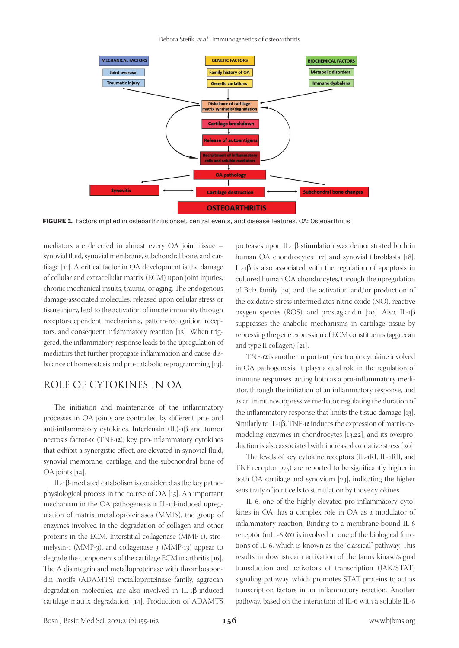Debora Stefik, *et al*.: Immunogenetics of osteoarthritis



FIGURE 1. Factors implied in osteoarthritis onset, central events, and disease features. OA: Osteoarthritis.

mediators are detected in almost every OA joint tissue – synovial fluid, synovial membrane, subchondral bone, and cartilage [11]. A critical factor in OA development is the damage of cellular and extracellular matrix (ECM) upon joint injuries, chronic mechanical insults, trauma, or aging. The endogenous damage-associated molecules, released upon cellular stress or tissue injury, lead to the activation of innate immunity through receptor-dependent mechanisms, pattern-recognition receptors, and consequent inflammatory reaction [12]. When triggered, the inflammatory response leads to the upregulation of mediators that further propagate inflammation and cause disbalance of homeostasis and pro-catabolic reprogramming [13].

# ROLE OF CYTOKINES IN OA

The initiation and maintenance of the inflammatory processes in OA joints are controlled by different pro- and anti-inflammatory cytokines. Interleukin (IL)-1β and tumor necrosis factor-α (TNF-α), key pro-inflammatory cytokines that exhibit a synergistic effect, are elevated in synovial fluid, synovial membrane, cartilage, and the subchondral bone of OA joints [14].

IL-1β-mediated catabolism is considered as the key pathophysiological process in the course of OA [15]. An important mechanism in the OA pathogenesis is IL-1β-induced upregulation of matrix metalloproteinases (MMPs), the group of enzymes involved in the degradation of collagen and other proteins in the ECM. Interstitial collagenase (MMP-1), stromelysin-1 (MMP-3), and collagenase 3 (MMP-13) appear to degrade the components of the cartilage ECM in arthritis [16]. The A disintegrin and metalloproteinase with thrombospondin motifs (ADAMTS) metalloproteinase family, aggrecan degradation molecules, are also involved in IL-1β-induced cartilage matrix degradation [14]. Production of ADAMTS

proteases upon IL-1β stimulation was demonstrated both in human OA chondrocytes [17] and synovial fibroblasts [18]. IL-1β is also associated with the regulation of apoptosis in cultured human OA chondrocytes, through the upregulation of Bcl2 family [19] and the activation and/or production of the oxidative stress intermediates nitric oxide (NO), reactive oxygen species (ROS), and prostaglandin [20]. Also, IL-1β suppresses the anabolic mechanisms in cartilage tissue by repressing the gene expression of ECM constituents (aggrecan and type II collagen) [21].

TNF-α is another important pleiotropic cytokine involved in OA pathogenesis. It plays a dual role in the regulation of immune responses, acting both as a pro-inflammatory mediator, through the initiation of an inflammatory response, and as an immunosuppressive mediator, regulating the duration of the inflammatory response that limits the tissue damage [13]. Similarly to IL-1β, TNF-α induces the expression of matrix-remodeling enzymes in chondrocytes [13,22], and its overproduction is also associated with increased oxidative stress [20].

The levels of key cytokine receptors (IL-1RI, IL-1RII, and TNF receptor p75) are reported to be significantly higher in both OA cartilage and synovium [23], indicating the higher sensitivity of joint cells to stimulation by those cytokines.

IL-6, one of the highly elevated pro-inflammatory cytokines in OA, has a complex role in OA as a modulator of inflammatory reaction. Binding to a membrane-bound IL-6 receptor (mIL-6 $R\alpha$ ) is involved in one of the biological functions of IL-6, which is known as the "classical" pathway. This results in downstream activation of the Janus kinase/signal transduction and activators of transcription (JAK/STAT) signaling pathway, which promotes STAT proteins to act as transcription factors in an inflammatory reaction. Another pathway, based on the interaction of IL-6 with a soluble IL-6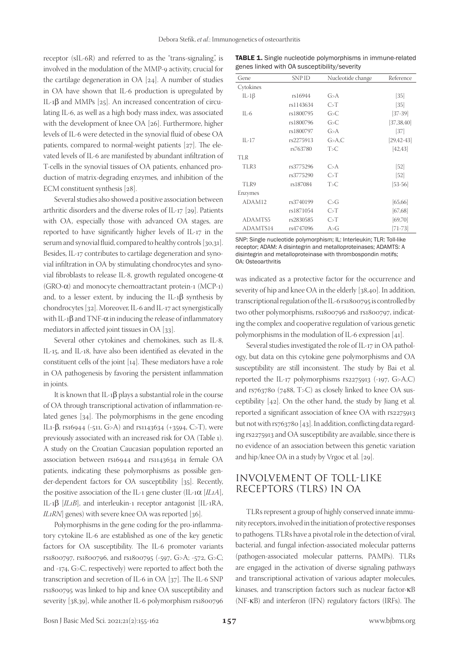receptor (sIL-6R) and referred to as the "trans-signaling", is involved in the modulation of the MMP-9 activity, crucial for the cartilage degeneration in OA [24]. A number of studies in OA have shown that IL-6 production is upregulated by IL-1β and MMPs [25]. An increased concentration of circulating IL-6, as well as a high body mass index, was associated with the development of knee OA [26]. Furthermore, higher levels of IL-6 were detected in the synovial fluid of obese OA patients, compared to normal-weight patients [27]. The elevated levels of IL-6 are manifested by abundant infiltration of T-cells in the synovial tissues of OA patients, enhanced production of matrix-degrading enzymes, and inhibition of the ECM constituent synthesis [28].

Several studies also showed a positive association between arthritic disorders and the diverse roles of IL-17 [29]. Patients with OA, especially those with advanced OA stages, are reported to have significantly higher levels of IL-17 in the serum and synovial fluid, compared to healthy controls [30,31]. Besides, IL-17 contributes to cartilage degeneration and synovial infiltration in OA by stimulating chondrocytes and synovial fibroblasts to release IL-8, growth regulated oncogene-α (GRO-α) and monocyte chemoattractant protein-1 (MCP-1) and, to a lesser extent, by inducing the IL-1 $\beta$  synthesis by chondrocytes [32]. Moreover, IL-6 and IL-17 act synergistically with IL-1 $\beta$  and TNF- $\alpha$  in inducing the release of inflammatory mediators in affected joint tissues in OA [33].

Several other cytokines and chemokines, such as IL-8, IL-15, and IL-18, have also been identified as elevated in the constituent cells of the joint [14]. These mediators have a role in OA pathogenesis by favoring the persistent inflammation in joints.

It is known that IL-1 $\beta$  plays a substantial role in the course of OA through transcriptional activation of inflammation-related genes [34]. The polymorphisms in the gene encoding IL<sub>1</sub>-β, rs<sub>16944</sub> (-511, G>A) and rs<sub>1143634</sub> (+3594, C>T), were previously associated with an increased risk for OA (Table 1). A study on the Croatian Caucasian population reported an association between rs16944 and rs1143634 in female OA patients, indicating these polymorphisms as possible gender-dependent factors for OA susceptibility [35]. Recently, the positive association of the IL-1 gene cluster (IL-1α [*IL1A*], IL-1β [*IL1B*], and interleukin-1 receptor antagonist [IL-1RA, *IL1RN*] genes) with severe knee OA was reported [36].

Polymorphisms in the gene coding for the pro-inflammatory cytokine IL-6 are established as one of the key genetic factors for OA susceptibility. The IL-6 promoter variants rs1800797, rs1800796, and rs1800795 (-597, G>A; -572, G>C; and -174, G>C, respectively) were reported to affect both the transcription and secretion of IL-6 in OA [37]. The IL-6 SNP rs1800795 was linked to hip and knee OA susceptibility and severity [38,39], while another IL-6 polymorphism rs1800796

**TABLE 1.** Single nucleotide polymorphisms in immune-related genes linked with OA susceptibility/severity

| Gene               | <b>SNPID</b> | Nucleotide change | Reference         |
|--------------------|--------------|-------------------|-------------------|
| Cytokines          |              |                   |                   |
| IL-1 $\beta$       | rs16944      | G > A             | $[35]$            |
|                    | rs1143634    | C>T               | $[35]$            |
| $IL - 6$           | rs1800795    | G > C             | $[37-39]$         |
|                    | rs1800796    | G>C               | [37, 38, 40]      |
|                    | rs1800797    | G > A             | [37]              |
| $II - 17$          | rs2275913    | G > A, C          | $[29, 42 - 43]$   |
|                    | rs763780     | T > C             | [42, 43]          |
| <b>TLR</b>         |              |                   |                   |
| TLR3               | rs3775296    | C > A             | $\left[52\right]$ |
|                    | rs3775290    | C>T               | $\left[52\right]$ |
| TLR9               | rs187084     | T>C               | $[53-56]$         |
| Enzymes            |              |                   |                   |
| ADAM <sub>12</sub> | rs3740199    | C > G             | [65, 66]          |
|                    | rs1871054    | C>T               | [67, 68]          |
| ADAMTS5            | rs2830585    | C>T               | [69,70]           |
| ADAMTS14           | rs4747096    | A>G               | [71-73]           |

SNP: Single nucleotide polymorphism; IL: Interleukin; TLR: Toll-like receptor; ADAM: A disintegrin and metalloproteinases; ADAMTS: A disintegrin and metalloproteinase with thrombospondin motifs; OA: Osteoarthritis

was indicated as a protective factor for the occurrence and severity of hip and knee OA in the elderly [38,40]. In addition, transcriptional regulation of the IL-6 rs1800795 is controlled by two other polymorphisms, rs1800796 and rs1800797, indicating the complex and cooperative regulation of various genetic polymorphisms in the modulation of IL-6 expression [41].

Several studies investigated the role of IL-17 in OA pathology, but data on this cytokine gene polymorphisms and OA susceptibility are still inconsistent. The study by Bai et al. reported the IL-17 polymorphisms rs2275913 (-197, G>A,C) and rs763780 (7488, T>C) as closely linked to knee OA susceptibility [42]. On the other hand, the study by Jiang et al. reported a significant association of knee OA with rs2275913 but not with rs763780 [43]. In addition, conflicting data regarding rs2275913 and OA susceptibility are available, since there is no evidence of an association between this genetic variation and hip/knee OA in a study by Vrgoc et al. [29].

# INVOLVEMENT OF TOLL-LIKE RECEPTORS (TLRS) IN OA

TLRs represent a group of highly conserved innate immunity receptors, involved in the initiation of protective responses to pathogens. TLRs have a pivotal role in the detection of viral, bacterial, and fungal infection-associated molecular patterns (pathogen-associated molecular patterns, PAMPs). TLRs are engaged in the activation of diverse signaling pathways and transcriptional activation of various adapter molecules, kinases, and transcription factors such as nuclear factor-κB (NF-κB) and interferon (IFN) regulatory factors (IRFs). The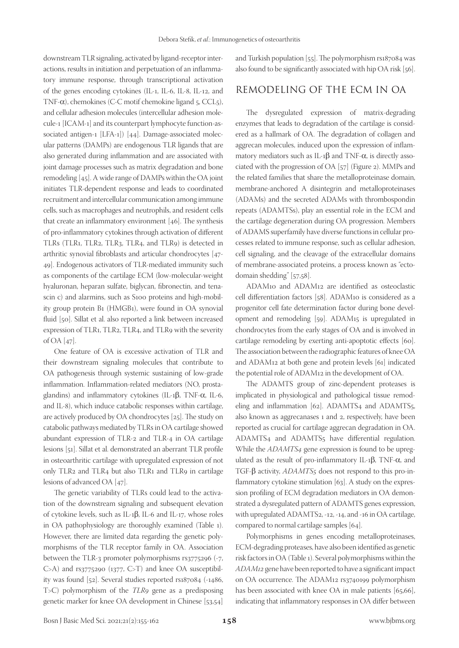downstream TLR signaling, activated by ligand-receptor interactions, results in initiation and perpetuation of an inflammatory immune response, through transcriptional activation of the genes encoding cytokines (IL-1, IL-6, IL-8, IL-12, and TNF-α), chemokines (C-C motif chemokine ligand 5, CCL5), and cellular adhesion molecules (intercellular adhesion molecule-1 [ICAM-1] and its counterpart lymphocyte function-associated antigen-1 [LFA-1]) [44]. Damage-associated molecular patterns (DAMPs) are endogenous TLR ligands that are also generated during inflammation and are associated with joint damage processes such as matrix degradation and bone remodeling [45]. A wide range of DAMPs within the OA joint initiates TLR-dependent response and leads to coordinated recruitment and intercellular communication among immune cells, such as macrophages and neutrophils, and resident cells that create an inflammatory environment [46]. The synthesis of pro-inflammatory cytokines through activation of different TLRs (TLR1, TLR2, TLR3, TLR4, and TLR9) is detected in arthritic synovial fibroblasts and articular chondrocytes [47- 49]. Endogenous activators of TLR-mediated immunity such as components of the cartilage ECM (low-molecular-weight hyaluronan, heparan sulfate, biglycan, fibronectin, and tenascin c) and alarmins, such as S100 proteins and high-mobility group protein B1 (HMGB1), were found in OA synovial fluid [50]. Sillat et al. also reported a link between increased expression of TLR1, TLR2, TLR4, and TLR9 with the severity of OA [47].

One feature of OA is excessive activation of TLR and their downstream signaling molecules that contribute to OA pathogenesis through systemic sustaining of low-grade inflammation. Inflammation-related mediators (NO, prostaglandins) and inflammatory cytokines (IL-1β, TNF-α, IL-6, and IL-8), which induce catabolic responses within cartilage, are actively produced by OA chondrocytes [25]. The study on catabolic pathways mediated by TLRs in OA cartilage showed abundant expression of TLR-2 and TLR-4 in OA cartilage lesions [51]. Sillat et al. demonstrated an aberrant TLR profile in osteoarthritic cartilage with upregulated expression of not only TLR2 and TLR4 but also TLR1 and TLR9 in cartilage lesions of advanced OA [47].

The genetic variability of TLRs could lead to the activation of the downstream signaling and subsequent elevation of cytokine levels, such as IL-1β, IL-6 and IL-17, whose roles in OA pathophysiology are thoroughly examined (Table 1). However, there are limited data regarding the genetic polymorphisms of the TLR receptor family in OA. Association between the TLR-3 promoter polymorphisms rs3775296 (-7, C>A) and rs3775290 (1377, C>T) and knee OA susceptibility was found [52]. Several studies reported rs187084 (-1486, T>C) polymorphism of the *TLR9* gene as a predisposing genetic marker for knee OA development in Chinese [53,54]

and Turkish population [55]. The polymorphism rs187084 was also found to be significantly associated with hip OA risk [56].

#### REMODELING OF THE ECM IN OA

The dysregulated expression of matrix-degrading enzymes that leads to degradation of the cartilage is considered as a hallmark of OA. The degradation of collagen and aggrecan molecules, induced upon the expression of inflammatory mediators such as IL-1 $\beta$  and TNF- $\alpha$ , is directly associated with the progression of OA [57] (Figure 2). MMPs and the related families that share the metalloproteinase domain, membrane-anchored A disintegrin and metalloproteinases (ADAMs) and the secreted ADAMs with thrombospondin repeats (ADAMTSs), play an essential role in the ECM and the cartilage degeneration during OA progression. Members of ADAMS superfamily have diverse functions in cellular processes related to immune response, such as cellular adhesion, cell signaling, and the cleavage of the extracellular domains of membrane-associated proteins, a process known as "ectodomain shedding" [57,58].

ADAM10 and ADAM12 are identified as osteoclastic cell differentiation factors [58]. ADAM10 is considered as a progenitor cell fate determination factor during bone development and remodeling [59]. ADAM15 is upregulated in chondrocytes from the early stages of OA and is involved in cartilage remodeling by exerting anti-apoptotic effects [60]. The association between the radiographic features of knee OA and ADAM12 at both gene and protein levels [61] indicated the potential role of ADAM12 in the development of OA.

The ADAMTS group of zinc-dependent proteases is implicated in physiological and pathological tissue remodeling and inflammation [62]. ADAMTS4 and ADAMTS5, also known as aggrecanases 1 and 2, respectively, have been reported as crucial for cartilage aggrecan degradation in OA. ADAMTS4 and ADAMTS5 have differential regulation. While the *ADAMTS4* gene expression is found to be upregulated as the result of pro-inflammatory IL-1β, TNF-α, and TGF-β activity, *ADAMTS5* does not respond to this pro-inflammatory cytokine stimulation [63]. A study on the expression profiling of ECM degradation mediators in OA demonstrated a dysregulated pattern of ADAMTS genes expression, with upregulated ADAMTS2, -12, -14, and -16 in OA cartilage, compared to normal cartilage samples [64].

Polymorphisms in genes encoding metalloproteinases, ECM-degrading proteases, have also been identified as genetic risk factors in OA (Table 1). Several polymorphisms within the *ADAM12* gene have been reported to have a significant impact on OA occurrence. The ADAM12 rs3740199 polymorphism has been associated with knee OA in male patients [65,66], indicating that inflammatory responses in OA differ between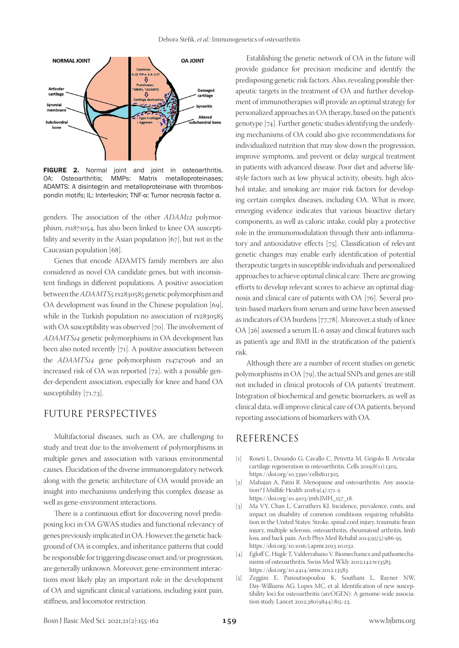

FIGURE 2. Normal joint and joint in osteoarthritis. OA: Osteoarthritis; MMPs: Matrix metalloproteinases; ADAMTS: A disintegrin and metalloproteinase with thrombospondin motifs; IL: Interleukin; TNF-α: Tumor necrosis factor α.

genders. The association of the other *ADAM12* polymorphism, rs1871054, has also been linked to knee OA susceptibility and severity in the Asian population [67], but not in the Caucasian population [68].

Genes that encode ADAMTS family members are also considered as novel OA candidate genes, but with inconsistent findings in different populations. A positive association between the *ADAMTS5* rs2830585 genetic polymorphism and OA development was found in the Chinese population [69], while in the Turkish population no association of rs2830585 with OA susceptibility was observed [70]. The involvement of *ADAMTS14* genetic polymorphisms in OA development has been also noted recently [71]. A positive association between the *ADAMTS14* gene polymorphism rs4747096 and an increased risk of OA was reported [72], with a possible gender-dependent association, especially for knee and hand OA susceptibility [71,73].

## FUTURE PERSPECTIVES

Multifactorial diseases, such as OA, are challenging to study and treat due to the involvement of polymorphisms in multiple genes and association with various environmental causes. Elucidation of the diverse immunoregulatory network along with the genetic architecture of OA would provide an insight into mechanisms underlying this complex disease as well as gene-environment interactions.

There is a continuous effort for discovering novel predisposing loci in OA GWAS studies and functional relevancy of genes previously implicated in OA. However, the genetic background of OA is complex, and inheritance patterns that could be responsible for triggering disease onset and/or progression, are generally unknown. Moreover, gene-environment interactions most likely play an important role in the development of OA and significant clinical variations, including joint pain, stiffness, and locomotor restriction.

Establishing the genetic network of OA in the future will provide guidance for precision medicine and identify the predisposing genetic risk factors. Also, revealing possible therapeutic targets in the treatment of OA and further development of immunotherapies will provide an optimal strategy for personalized approaches in OA therapy, based on the patient's genotype [74]. Further genetic studies identifying the underlying mechanisms of OA could also give recommendations for individualized nutrition that may slow down the progression, improve symptoms, and prevent or delay surgical treatment in patients with advanced disease. Poor diet and adverse lifestyle factors such as low physical activity, obesity, high alcohol intake, and smoking are major risk factors for developing certain complex diseases, including OA. What is more, emerging evidence indicates that various bioactive dietary components, as well as caloric intake, could play a protective role in the immunomodulation through their anti-inflammatory and antioxidative effects [75]. Classification of relevant genetic changes may enable early identification of potential therapeutic targets in susceptible individuals and personalized approaches to achieve optimal clinical care. There are growing efforts to develop relevant scores to achieve an optimal diagnosis and clinical care of patients with OA [76]. Several protein-based markers from serum and urine have been assessed as indicators of OA burdens [77,78]. Moreover, a study of knee OA [26] assessed a serum IL-6 assay and clinical features such as patient's age and BMI in the stratification of the patient's risk.

Although there are a number of recent studies on genetic polymorphisms in OA [79], the actual SNPs and genes are still not included in clinical protocols of OA patients' treatment. Integration of biochemical and genetic biomarkers, as well as clinical data, will improve clinical care of OA patients, beyond reporting associations of biomarkers with OA.

#### REFERENCES

- [1] Roseti L, Desando G, Cavallo C, Petretta M, Grigolo B. Articular cartilage regeneration in osteoarthritis. Cells 2019;8(11):1305. https://doi.org/10.3390/cells8111305.
- [2] Mahajan A, Patni R. Menopause and osteoarthritis: Any association? J Midlife Health 2018;9(4):171-2. https://doi.org/10.4103/jmh.JMH\_157\_18.
- [3] Ma VY, Chan L, Carruthers KJ. Incidence, prevalence, costs, and impact on disability of common conditions requiring rehabilitation in the United States: Stroke, spinal cord injury, traumatic brain injury, multiple sclerosis, osteoarthritis, rheumatoid arthritis, limb loss, and back pain. Arch Phys Med Rehabil 2014;95(5):986-95. https://doi.org/10.1016/j.apmr.2013.10.032.
- [4] Egloff C, Hügle T, Valderrabano V. Biomechanics and pathomechanisms of osteoarthritis. Swiss Med Wkly 2012;142:w13583. https://doi.org/10.4414/smw.2012.13583.
- [5] Zeggini E, Panoutsopoulou K, Southam L, Rayner NW, Day-Williams AG, Lopes MC, et al. Identification of new susceptibility loci for osteoarthritis (arcOGEN): A genome-wide association study. Lancet 2012;380(9844):815-23.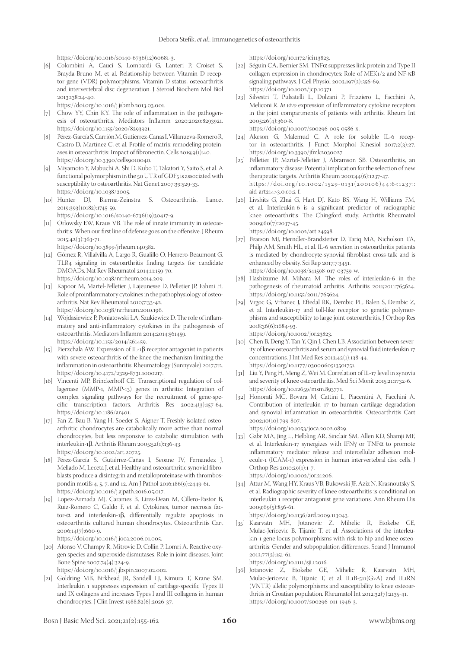https://doi.org/10.1016/s0140-6736(12)60681-3.

[6] Colombini A, Cauci S, Lombardi G, Lanteri P, Croiset S, Brayda-Bruno M, et al. Relationship between Vitamin D receptor gene (VDR) polymorphisms, Vitamin D status, osteoarthritis and intervertebral disc degeneration. J Steroid Biochem Mol Biol 2013;138:24-40.

https://doi.org/10.1016/j.jsbmb.2013.03.001.

- [7] Chow YY, Chin KY. The role of inflammation in the pathogenesis of osteoarthritis. Mediators Inflamm 2020;2020:8293921. https://doi.org/10.1155/2020/8293921.
- [8] Pérez-García S, Carrión M, Gutiérrez-Cañas I, Villanueva-Romero R, Castro D, Martínez C, et al. Profile of matrix-remodeling proteinases in osteoarthritis: Impact of fibronectin. Cells 2019;9(1):40. https://doi.org/10.3390/cells9010040.
- [9] Miyamoto Y, Mabuchi A, Shi D, Kubo T, Takatori Y, Saito S, et al. A functional polymorphism in the 50 UTR of GDF5 is associated with susceptibility to osteoarthritis. Nat Genet 2007;39:529-33. https://doi.org/10.1038/2005.
- [10] Hunter DJ, Bierma-Zeinstra S. Osteoarthritis. Lancet 2019;393(10182):1745-59.

https://doi.org/10.1016/s0140-6736(19)30417-9.

- [11] Orlowsky EW, Kraus VB. The role of innate immunity in osteoarthritis: When our first line of defense goes on the offensive. J Rheum 2015;42(3):363-71.
- https://doi.org/10.3899/jrheum.140382.
- [12] Gómez R, Villalvilla A, Largo R, Gualillo O, Herrero-Beaumont G. TLR4 signaling in osteoarthritis finding targets for candidate DMOADs. Nat Rev Rheumatol 2014;11:159-70. https://doi.org/10.1038/nrrheum.2014.209.
- [13] Kapoor M, Martel-Pelletier J, Lajeunesse D, Pelletier JP, Fahmi H. Role of proinflammatory cytokines in the pathophysiology of osteoarthritis. Nat Rev Rheumatol 2010;7:33-42. https://doi.org/10.1038/nrrheum.2010.196.
- [14] Wojdasiewicz P, Poniatowski ŁA, Szukiewicz D. The role of inflammatory and anti-inflammatory cytokines in the pathogenesis of osteoarthritis. Mediators Inflamm 2014;2014:561459. https://doi.org/10.1155/2014/561459.
- [15] Pierzchala AW. Expression of IL-1β receptor antagonist in patients with severe osteoarthritis of the knee the mechanism limiting the inflammation in osteoarthritis. Rheumatology (Sunnyvale) 2017;7:2. https://doi.org/10.4172/2329-8731.1000217.
- [16] Vincenti MP, Brinckerhoff CE. Transcriptional regulation of collagenase (MMP-1, MMP-13) genes in arthritis: Integration of complex signaling pathways for the recruitment of gene-specific transcription factors. Arthritis Res 2002;4(3):157-64. https://doi.org/10.1186/ar401.
- [17] Fan Z, Bau B, Yang H, Soeder S, Aigner T. Freshly isolated osteoarthritic chondrocytes are catabolically more active than normal chondrocytes, but less responsive to catabolic stimulation with interleukin-1β. Arthritis Rheum 2005;52(1):136-43. https://doi.org/10.1002/art.20725.
- [18] Pérez-García S, Gutiérrez-Cañas I, Seoane IV, Fernandez J, Mellado M, Leceta J, et al. Healthy and osteoarthritic synovial fibroblasts produce a disintegrin and metalloproteinase with thrombospondin motifs 4, 5, 7, and 12. Am J Pathol 2016;186(9):2449-61. https://doi.org/10.1016/j.ajpath.2016.05.017.
- [19] Lopez-Armada MJ, Carames B, Lires-Dean M, Cillero-Pastor B, Ruiz-Romero C, Galdo F, et al. Cytokines, tumor necrosis factor-α and interleukin-1β, differentially regulate apoptosis in osteoarthritis cultured human chondrocytes. Osteoarthritis Cart 2006;14(7):660-9.

https://doi.org/10.1016/j.joca.2006.01.005.

- [20] Afonso V, Champy R, Mitrovic D, Collin P, Lomri A. Reactive oxygen species and superoxide dismutases: Role in joint diseases. Joint Bone Spine 2007;74(4):324-9.
	- https://doi.org/10.1016/j.jbspin.2007.02.002.
- [21] Goldring MB, Birkhead JR, Sandell LJ, Kimura T, Krane SM. Interleukin 1 suppresses expression of cartilage-specific Types II and IX collagens and increases Types I and III collagens in human chondrocytes. J Clin Invest 1988;82(6):2026-37.

https://doi.org/10.1172/jci113823.

- [22] Séguin CA, Bernier SM. TNFα suppresses link protein and Type II collagen expression in chondrocytes: Role of MEK1/2 and NF-κB signaling pathways. J Cell Physiol 2003;197(3):356-69. https://doi.org/10.1002/jcp.10371.
- [23] Silvestri T, Pulsatelli L, Dolzani P, Frizziero L, Facchini A, Meliconi R. *In vivo* expression of inflammatory cytokine receptors in the joint compartments of patients with arthritis. Rheum Int 2005;26(4):360-8.

https://doi.org/10.1007/s00296-005-0586-x.

- [24] Akeson G, Malemud C. A role for soluble IL-6 receptor in osteoarthritis. J Funct Morphol Kinesiol 2017;2(3):27. https://doi.org/10.3390/jfmk2030027.
- [25] Pelletier JP, Martel-Pelletier J, Abramson SB. Osteoarthritis, an inflammatory disease: Potential implication for the selection of new therapeutic targets. Arthritis Rheum 2001;44(6):1237-47. https://doi.org/10.1002/1529-0131(200106)44:6<1237:: aid-art214>3.0.co;2-f.
- [26] Livshits G, Zhai G, Hart DJ, Kato BS, Wang H, Williams FM, et al. Interleukin-6 is a significant predictor of radiographic knee osteoarthritis: The Chingford study. Arthritis Rheumatol 2009;60(7):2037-45. https://doi.org/10.1002/art.24598.
- [27] Pearson MJ, Herndler-Brandstetter D, Tariq MA, Nicholson TA, Philp AM, Smith HL, et al. IL-6 secretion in osteoarthritis patients is mediated by chondrocyte-synovial fibroblast cross-talk and is enhanced by obesity. Sci Rep 2017;7:3451.

https://doi.org/10.1038/s41598-017-03759-w.

- [28] Hashizume M, Mihara M. The roles of interleukin-6 in the pathogenesis of rheumatoid arthritis. Arthritis 2011;2011:765624. https://doi.org/10.1155/2011/765624.
- [29] Vrgoc G, Vrbanec J, Eftedal RK, Dembic PL, Balen S, Dembic Z, et al. Interleukin-17 and toll-like receptor 10 genetic polymorphisms and susceptibility to large joint osteoarthritis. J Orthop Res 2018;36(6):1684-93. https://doi.org/10.1002/jor.23823.

[30] Chen B, Deng Y, Tan Y, Qin J, Chen LB. Association between sever-

- ity of knee osteoarthritis and serum and synovial fluid interleukin 17 concentrations. J Int Med Res 2013;42(1):138-44. https://doi.org/10.1177/0300060513501751.
- [31] Liu Y, Peng H, Meng Z, Wei M. Correlation of IL-17 level in synovia and severity of knee osteoarthritis. Med Sci Monit 2015;21:1732-6. https://doi.org/10.12659/msm.893771.
- [32] Honorati MC, Bovara M, Cattini L, Piacentini A, Facchini A. Contribution of interleukin 17 to human cartilage degradation and synovial inflammation in osteoarthritis. Osteoarthritis Cart 2002;10(10):799-807.

https://doi.org/10.1053/joca.2002.0829.

[33] Gabr MA, Jing L, Helbling AR, Sinclair SM, Allen KD, Shamji MF, et al. Interleukin-17 synergizes with IFNγ or TNFα to promote inflammatory mediator release and intercellular adhesion molecule-1 (ICAM-1) expression in human intervertebral disc cells. J Orthop Res 2010;29(1):1-7.

https://doi.org/10.1002/jor.21206.

[34] Attur M, Wang HY, Kraus VB, Bukowski JF, Aziz N, Krasnoutsky S, et al. Radiographic severity of knee osteoarthritis is conditional on interleukin 1 receptor antagonist gene variations. Ann Rheum Dis 2009;69(5):856-61.

https://doi.org/10.1136/ard.2009.113043.

[35] Kaarvatn MH, Jotanovic Z, Mihelic R, Etokebe GE, Mulac-Jericevic B, Tijanic T, et al. Associations of the interleukin-1 gene locus polymorphisms with risk to hip and knee osteoarthritis: Gender and subpopulation differences. Scand J Immunol 2013;77(2):151-61.

https://doi.org/10.1111/sji.12016.

[36] Jotanovic Z, Etokebe GE, Mihelic R, Kaarvatn MH, Mulac-Jericevic B, Tijanic T, et al. IL1B-511(G>A) and IL1RN (VNTR) allelic polymorphisms and susceptibility to knee osteoarthritis in Croatian population. Rheumatol Int 2012;32(7):2135-41. https://doi.org/10.1007/s00296-011-1946-3.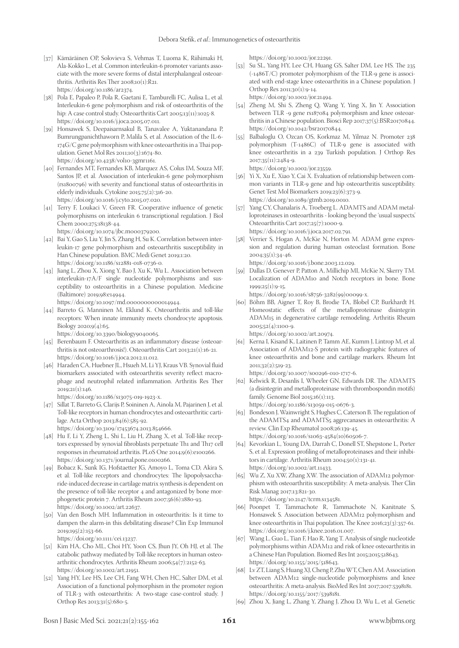- [37] Kämäräinen OP, Solovieva S, Vehmas T, Luoma K, Riihimaki H, Ala-Kokko L, et al. Common interleukin-6 promoter variants associate with the more severe forms of distal interphalangeal osteoarthritis. Arthritis Res Ther 2008;10(1):R21. https://doi.org/10.1186/ar2374.
- [38] Pola E, Papaleo P, Pola R, Gaetani E, Tamburelli FC, Aulisa L, et al. Interleukin-6 gene polymorphism and risk of osteoarthritis of the hip: A case control study. Osteoarthritis Cart 2005;13(11):1025-8. https://doi.org/10.1016/j.joca.2005.07.011.
- [39] Honsawek S, Deepaisarnsakul B, Tanavalee A, Yuktanandana P, Bumrungpanichthaworn P, Malila S, et al. Association of the IL-6- 174G/C gene polymorphism with knee osteoarthritis in a Thai population. Genet Mol Res 2011;10(3):1674-80. https://doi.org/10.4238/vol10-3gmr1161.
- [40] Fernandes MT, Fernandes KB, Marquez AS, Colus IM, Souza MF, Santos JP, et al. Association of interleukin-6 gene polymorphism (rs1800796) with severity and functional status of osteoarthritis in elderly individuals. Cytokine 2015;75(2):316-20. https://doi.org/10.1016/j.cyto.2015.07.020.
- [41] Terry F, Loukaci V, Green FR. Cooperative influence of genetic polymorphisms on interleukin 6 transcriptional regulation. J Biol Chem 2000;275:18138-44.

https://doi.org/10.1074/jbc.m000379200.

- [42] Bai Y, Gao S, Liu Y, Jin S, Zhang H, Su K. Correlation between interleukin-17 gene polymorphism and osteoarthritis susceptibility in Han Chinese population. BMC Medi Genet 2019;1:20. https://doi.org/10.1186/s12881-018-0736-0.
- [43] Jiang L, Zhou X, Xiong Y, Bao J, Xu K, Wu L. Association between interleukin-17A/F single nucleotide polymorphisms and susceptibility to osteoarthritis in a Chinese population. Medicine (Baltimore) 2019;98:e14944.

https://doi.org/10.1097/md.0000000000014944.

[44] Barreto G, Manninen M, Eklund K. Osteoarthritis and toll-like receptors: When innate immunity meets chondrocyte apoptosis. Biology 2020;9(4):65.

https://doi.org/10.3390/biology9040065.

- [45] Berenbaum F. Osteoarthritis as an inflammatory disease (osteoarthritis is not osteoarthrosis!). Osteoarthritis Cart 2013;21(1):16-21. https://doi.org/10.1016/j.joca.2012.11.012.
- [46] Haraden CA, Huebner JL, Hsueh M, Li YJ, Kraus VB. Synovial fluid biomarkers associated with osteoarthritis severity reflect macrophage and neutrophil related inflammation. Arthritis Res Ther  $2019:21(1):146.$

https://doi.org/10.1186/s13075-019-1923-x.

- [47] Sillat T, Barreto G, Clarijs P, Soininen A, Ainola M, Pajarinen J, et al. Toll-like receptors in human chondrocytes and osteoarthritic cartilage. Acta Orthop 2013;84(6):585-92. https://doi.org/10.3109/17453674.2013.854666.
- [48] Hu F, Li Y, Zheng L, Shi L, Liu H, Zhang X, et al. Toll-like receptors expressed by synovial fibroblasts perpetuate Th1 and Th17 cell responses in rheumatoid arthritis. PLoS One 2014;9(6):e100266. https://doi.org/10.1371/journal.pone.0100266.
- [49] Bobacz K, Sunk IG, Hofstaetter JG, Amoyo L, Toma CD, Akira S, et al. Toll-like receptors and chondrocytes: The lipopolysaccharide-induced decrease in cartilage matrix synthesis is dependent on the presence of toll-like receptor 4 and antagonized by bone morphogenetic protein 7. Arthritis Rheum 2007;56(6):1880-93. https://doi.org/10.1002/art.22637.
- [50] Van den Bosch MH. Inflammation in osteoarthritis: Is it time to dampen the alarm-in this debilitating disease? Clin Exp Immunol 2019;195(2):153-66.

https://doi.org/10.1111/cei.13237.

- [51] Kim HA, Cho ML, Choi HY, Yoon CS, Jhun JY, Oh HJ, et al. The catabolic pathway mediated by Toll-like receptors in human osteoarthritic chondrocytes. Arthritis Rheum 2006;54(7):2152-63. https://doi.org/10.1002/art.21951.
- [52] Yang HY, Lee HS, Lee CH, Fang WH, Chen HC, Salter DM, et al. Association of a functional polymorphism in the promoter region of TLR-3 with osteoarthritis: A two-stage case-control study. J Orthop Res 2013;31(5):680-5.

https://doi.org/10.1002/jor.22291.

[53] Su SL, Yang HY, Lee CH, Huang GS, Salter DM, Lee HS. The 235  $(-1486T/C)$  promoter polymorphism of the TLR-9 gene is associated with end-stage knee osteoarthritis in a Chinese population. J Orthop Res 2011;30(1):9-14. https://doi.org/10.1002/jor.21494.

- [54] Zheng M, Shi S, Zheng Q, Wang Y, Ying X, Jin Y. Association between TLR -9 gene rs187084 polymorphism and knee osteoarthritis in a Chinese population. Biosci Rep 2017;37(5):BSR20170844. https://doi.org/10.1042/bsr20170844.
- [55] Balbaloglu O, Ozcan OS, Korkmaz M, Yilmaz N. Promoter 238 polymorphism (T-1486C) of TLR-9 gene is associated with knee osteoarthritis in a 239 Turkish population. J Orthop Res 2017;35(11):2484-9.

https://doi.org/10.1002/jor.23559.

- [56] Yi X, Xu E, Xiao Y, Cai X. Evaluation of relationship between common variants in TLR-9 gene and hip osteoarthritis susceptibility. Genet Test Mol Biomarkers 2019;23(6):373-9. https://doi.org/10.1089/gtmb.2019.0010.
- [57] Yang CY, Chanalaris A, Troeberg L. ADAMTS and ADAM metalloproteinases in osteoarthritis - looking beyond the 'usual suspects'. Osteoarthritis Cart 2017;25(7):1000-9. https://doi.org/10.1016/j.joca.2017.02.791.
- [58] Verrier S, Hogan A, McKie N, Horton M. ADAM gene expression and regulation during human osteoclast formation. Bone 2004;35(1):34-46.

https://doi.org/10.1016/j.bone.2003.12.029.

[59] Dallas D, Genever P, Patton A, Millichip MI, McKie N, Skerry TM. Localization of ADAM10 and Notch receptors in bone. Bone 1999;25(1):9-15.

https://doi.org/10.1016/s8756-3282(99)00099-x.

- [60] Böhm BB, Aigner T, Roy B, Brodie TA, Blobel CP, Burkhardt H. Homeostatic effects of the metalloproteinase disintegrin ADAM15 in degenerative cartilage remodeling. Arthritis Rheum 2005;52(4):1100-9. https://doi.org/10.1002/art.20974.
- [61] Kerna I, Kisand K, Laitinen P, Tamm AE, Kumm J, Lintrop M, et al. Association of ADAM12-S protein with radiographic features of knee osteoarthritis and bone and cartilage markers. Rheum Int 2011;32(2):519-23.

https://doi.org/10.1007/s00296-010-1717-6.

- [62] Kelwick R, Desanlis I, Wheeler GN, Edwards DR. The ADAMTS (a disintegrin and metalloproteinase with thrombospondin motifs) family. Genome Biol 2015;16(1):113. https://doi.org/10.1186/s13059-015-0676-3.
- [63] Bondeson J, Wainwright S, Hughes C, Caterson B. The regulation of the ADAMTS4 and ADAMTS5 aggrecanases in osteoarthritis: A review. Clin Exp Rheumatol 2008;26:139-45. https://doi.org/10.1016/s1063-4584(10)60506-7.
- [64] Kevorkian L, Young DA, Darrah C, Donell ST, Shepstone L, Porter S, et al. Expression profiling of metalloproteinases and their inhibitors in cartilage. Arthritis Rheum 2004;50(1):131-41. https://doi.org/10.1002/art.11433.
- [65] Wu Z, Xu XW, Zhang XW. The association of ADAM12 polymorphism with osteoarthritis susceptibility: A meta-analysis. Ther Clin Risk Manag 2017;13:821-30.

https://doi.org/10.2147/tcrm.s134581.

- [66] Poonpet T, Tammachote R, Tammachote N, Kanitnate S, Honsawek S. Association between ADAM12 polymorphism and knee osteoarthritis in Thai population. The Knee 2016;23(3):357-61. https://doi.org/10.1016/j.knee.2016.01.007.
- [67] Wang L, Guo L, Tian F, Hao R, Yang T. Analysis of single nucleotide polymorphisms within ADAM12 and risk of knee osteoarthritis in a Chinese Han Population. Biomed Res Int 2015;2015:518643. https://doi.org/10.1155/2015/518643.
- [68] Lv ZT, Liang S, Huang XJ, Cheng P, Zhu WT, Chen AM. Association between ADAM12 single-nucleotide polymorphisms and knee osteoarthritis: A meta-analysis. BioMed Res Int 2017;2017:5398181. https://doi.org/10.1155/2017/5398181.
- [69] Zhou X, Jiang L, Zhang Y, Zhang J, Zhou D, Wu L, et al. Genetic